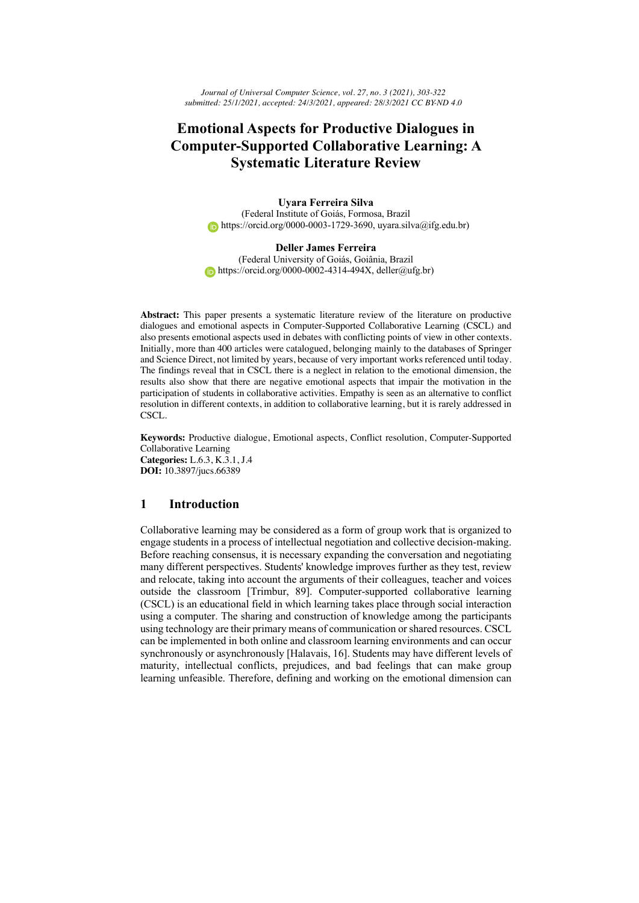*Journal of Universal Computer Science, vol. 27, no. 3 (2021), 303-322 submitted: 25/1/2021, accepted: 24/3/2021, appeared: 28/3/2021 CC BY-ND 4.0*

# **Emotional Aspects for Productive Dialogues in Computer-Supported Collaborative Learning: A Systematic Literature Review**

**Uyara Ferreira Silva** (Federal Institute of Goiás, Formosa, Brazil https://orcid.org/0000-0003-1729-3690, uyara.silva@ifg.edu.br)

#### **Deller James Ferreira**

(Federal University of Goiás, Goiânia, Brazil  $https://orcid.org/0000-0002-4314-494X,$  deller@ufg.br)

**Abstract:** This paper presents a systematic literature review of the literature on productive dialogues and emotional aspects in Computer-Supported Collaborative Learning (CSCL) and also presents emotional aspects used in debates with conflicting points of view in other contexts. Initially, more than 400 articles were catalogued, belonging mainly to the databases of Springer and Science Direct, not limited by years, because of very important works referenced until today. The findings reveal that in CSCL there is a neglect in relation to the emotional dimension, the results also show that there are negative emotional aspects that impair the motivation in the participation of students in collaborative activities. Empathy is seen as an alternative to conflict resolution in different contexts, in addition to collaborative learning, but it is rarely addressed in CSCL.

**Keywords:** Productive dialogue, Emotional aspects, Conflict resolution, Computer-Supported Collaborative Learning **Categories:** L.6.3, K.3.1, J.4 **DOI:** 10.3897/jucs.66389

# **1 Introduction**

Collaborative learning may be considered as a form of group work that is organized to engage students in a process of intellectual negotiation and collective decision-making. Before reaching consensus, it is necessary expanding the conversation and negotiating many different perspectives. Students' knowledge improves further as they test, review and relocate, taking into account the arguments of their colleagues, teacher and voices outside the classroom [Trimbur, 89]. Computer-supported collaborative learning (CSCL) is an educational field in which learning takes place through social interaction using a computer. The sharing and construction of knowledge among the participants using technology are their primary means of communication or shared resources. CSCL can be implemented in both online and classroom learning environments and can occur synchronously or asynchronously [Halavais, 16]. Students may have different levels of maturity, intellectual conflicts, prejudices, and bad feelings that can make group learning unfeasible. Therefore, defining and working on the emotional dimension can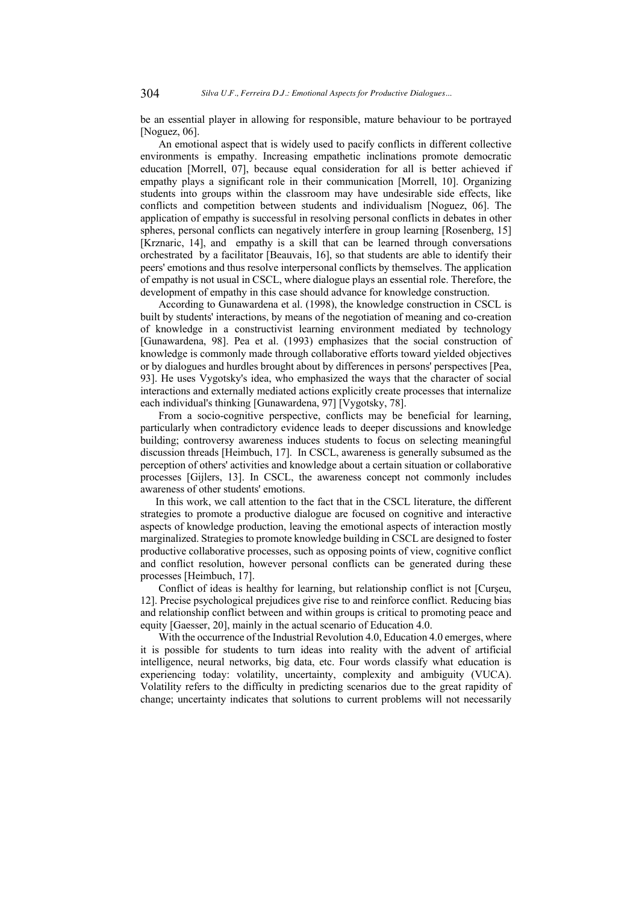be an essential player in allowing for responsible, mature behaviour to be portrayed [Noguez, 06].

An emotional aspect that is widely used to pacify conflicts in different collective environments is empathy. Increasing empathetic inclinations promote democratic education [Morrell, 07], because equal consideration for all is better achieved if empathy plays a significant role in their communication [Morrell, 10]. Organizing students into groups within the classroom may have undesirable side effects, like conflicts and competition between students and individualism [Noguez, 06]. The application of empathy is successful in resolving personal conflicts in debates in other spheres, personal conflicts can negatively interfere in group learning [Rosenberg, 15] [Krznaric, 14], and empathy is a skill that can be learned through conversations orchestrated by a facilitator [Beauvais, 16], so that students are able to identify their peers' emotions and thus resolve interpersonal conflicts by themselves. The application of empathy is not usual in CSCL, where dialogue plays an essential role. Therefore, the development of empathy in this case should advance for knowledge construction.

According to Gunawardena et al. (1998), the knowledge construction in CSCL is built by students' interactions, by means of the negotiation of meaning and co-creation of knowledge in a constructivist learning environment mediated by technology [Gunawardena, 98]. Pea et al. (1993) emphasizes that the social construction of knowledge is commonly made through collaborative efforts toward yielded objectives or by dialogues and hurdles brought about by differences in persons' perspectives [Pea, 93]. He uses Vygotsky's idea, who emphasized the ways that the character of social interactions and externally mediated actions explicitly create processes that internalize each individual's thinking [Gunawardena, 97] [Vygotsky, 78].

From a socio-cognitive perspective, conflicts may be beneficial for learning, particularly when contradictory evidence leads to deeper discussions and knowledge building; controversy awareness induces students to focus on selecting meaningful discussion threads [Heimbuch, 17]. In CSCL, awareness is generally subsumed as the perception of others' activities and knowledge about a certain situation or collaborative processes [Gijlers, 13]. In CSCL, the awareness concept not commonly includes awareness of other students' emotions.

In this work, we call attention to the fact that in the CSCL literature, the different strategies to promote a productive dialogue are focused on cognitive and interactive aspects of knowledge production, leaving the emotional aspects of interaction mostly marginalized. Strategies to promote knowledge building in CSCL are designed to foster productive collaborative processes, such as opposing points of view, cognitive conflict and conflict resolution, however personal conflicts can be generated during these processes [Heimbuch, 17].

Conflict of ideas is healthy for learning, but relationship conflict is not [Curşeu, 12]. Precise psychological prejudices give rise to and reinforce conflict. Reducing bias and relationship conflict between and within groups is critical to promoting peace and equity [Gaesser, 20], mainly in the actual scenario of Education 4.0.

With the occurrence of the Industrial Revolution 4.0, Education 4.0 emerges, where it is possible for students to turn ideas into reality with the advent of artificial intelligence, neural networks, big data, etc. Four words classify what education is experiencing today: volatility, uncertainty, complexity and ambiguity (VUCA). Volatility refers to the difficulty in predicting scenarios due to the great rapidity of change; uncertainty indicates that solutions to current problems will not necessarily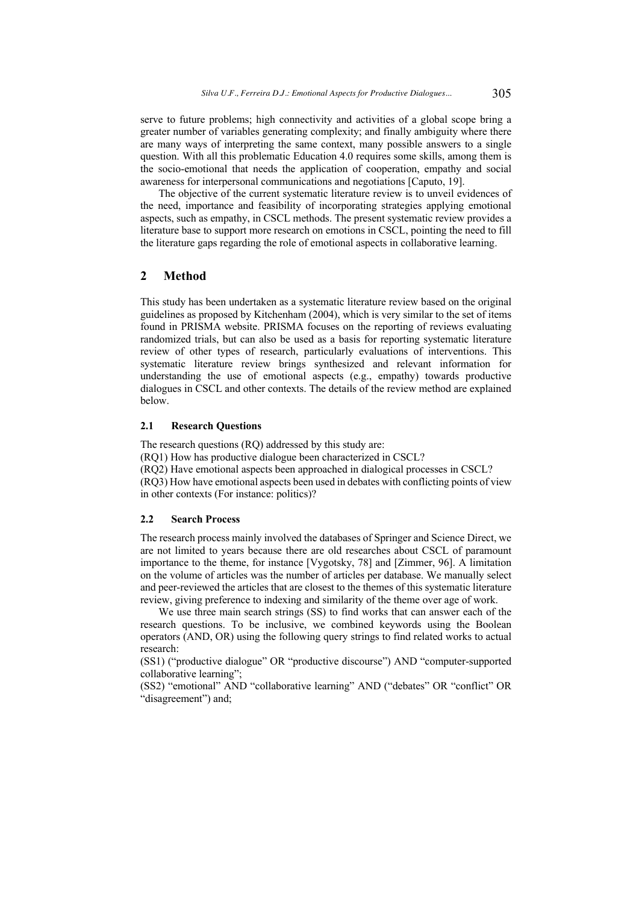serve to future problems; high connectivity and activities of a global scope bring a greater number of variables generating complexity; and finally ambiguity where there are many ways of interpreting the same context, many possible answers to a single question. With all this problematic Education 4.0 requires some skills, among them is the socio-emotional that needs the application of cooperation, empathy and social awareness for interpersonal communications and negotiations [Caputo, 19].

The objective of the current systematic literature review is to unveil evidences of the need, importance and feasibility of incorporating strategies applying emotional aspects, such as empathy, in CSCL methods. The present systematic review provides a literature base to support more research on emotions in CSCL, pointing the need to fill the literature gaps regarding the role of emotional aspects in collaborative learning.

# **2 Method**

This study has been undertaken as a systematic literature review based on the original guidelines as proposed by Kitchenham (2004), which is very similar to the set of items found in PRISMA website. PRISMA focuses on the reporting of reviews evaluating randomized trials, but can also be used as a basis for reporting systematic literature review of other types of research, particularly evaluations of interventions. This systematic literature review brings synthesized and relevant information for understanding the use of emotional aspects (e.g., empathy) towards productive dialogues in CSCL and other contexts. The details of the review method are explained below.

## **2.1 Research Questions**

The research questions (RQ) addressed by this study are: (RQ1) How has productive dialogue been characterized in CSCL? (RQ2) Have emotional aspects been approached in dialogical processes in CSCL? (RQ3) How have emotional aspects been used in debates with conflicting points of view in other contexts (For instance: politics)?

### **2.2 Search Process**

The research process mainly involved the databases of Springer and Science Direct, we are not limited to years because there are old researches about CSCL of paramount importance to the theme, for instance [Vygotsky, 78] and [Zimmer, 96]. A limitation on the volume of articles was the number of articles per database. We manually select and peer-reviewed the articles that are closest to the themes of this systematic literature review, giving preference to indexing and similarity of the theme over age of work.

We use three main search strings (SS) to find works that can answer each of the research questions. To be inclusive, we combined keywords using the Boolean operators (AND, OR) using the following query strings to find related works to actual research:

(SS1) ("productive dialogue" OR "productive discourse") AND "computer-supported collaborative learning";

(SS2) "emotional" AND "collaborative learning" AND ("debates" OR "conflict" OR "disagreement") and;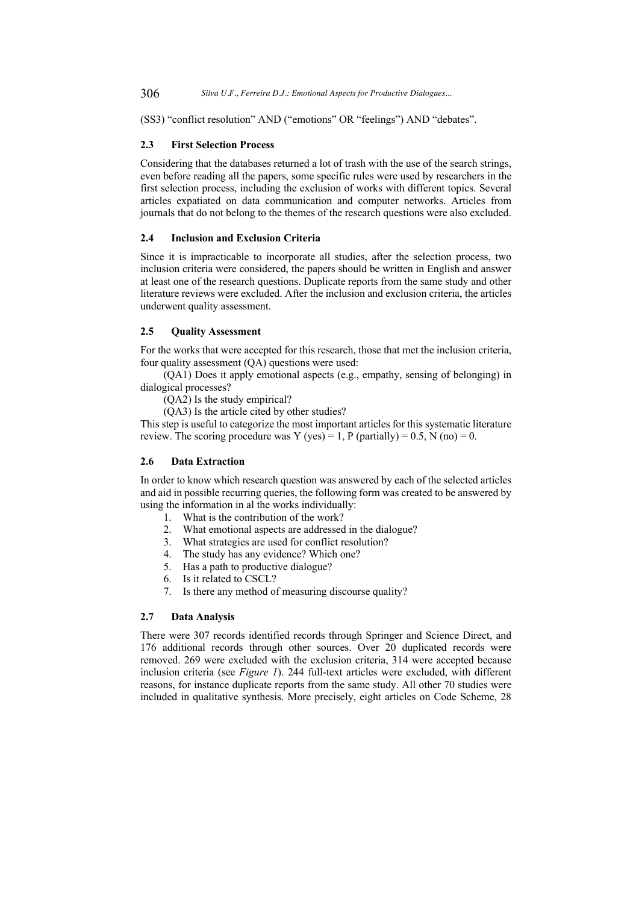(SS3) "conflict resolution" AND ("emotions" OR "feelings") AND "debates".

#### **2.3 First Selection Process**

Considering that the databases returned a lot of trash with the use of the search strings, even before reading all the papers, some specific rules were used by researchers in the first selection process, including the exclusion of works with different topics. Several articles expatiated on data communication and computer networks. Articles from journals that do not belong to the themes of the research questions were also excluded.

#### **2.4 Inclusion and Exclusion Criteria**

Since it is impracticable to incorporate all studies, after the selection process, two inclusion criteria were considered, the papers should be written in English and answer at least one of the research questions. Duplicate reports from the same study and other literature reviews were excluded. After the inclusion and exclusion criteria, the articles underwent quality assessment.

## **2.5 Quality Assessment**

For the works that were accepted for this research, those that met the inclusion criteria, four quality assessment  $(QA)$  questions were used:

(QA1) Does it apply emotional aspects (e.g., empathy, sensing of belonging) in dialogical processes?

(QA2) Is the study empirical?

(QA3) Is the article cited by other studies?

This step is useful to categorize the most important articles for this systematic literature review. The scoring procedure was Y (yes) = 1, P (partially) =  $0.5$ , N (no) =  $0$ .

#### **2.6 Data Extraction**

In order to know which research question was answered by each of the selected articles and aid in possible recurring queries, the following form was created to be answered by using the information in al the works individually:

- 1. What is the contribution of the work?
- 2. What emotional aspects are addressed in the dialogue?
- 3. What strategies are used for conflict resolution?
- 4. The study has any evidence? Which one?
- 5. Has a path to productive dialogue?
- 6. Is it related to CSCL?
- 7. Is there any method of measuring discourse quality?

#### **2.7 Data Analysis**

There were 307 records identified records through Springer and Science Direct, and 176 additional records through other sources. Over 20 duplicated records were removed. 269 were excluded with the exclusion criteria, 314 were accepted because inclusion criteria (see *Figure 1*). 244 full-text articles were excluded, with different reasons, for instance duplicate reports from the same study. All other 70 studies were included in qualitative synthesis. More precisely, eight articles on Code Scheme, 28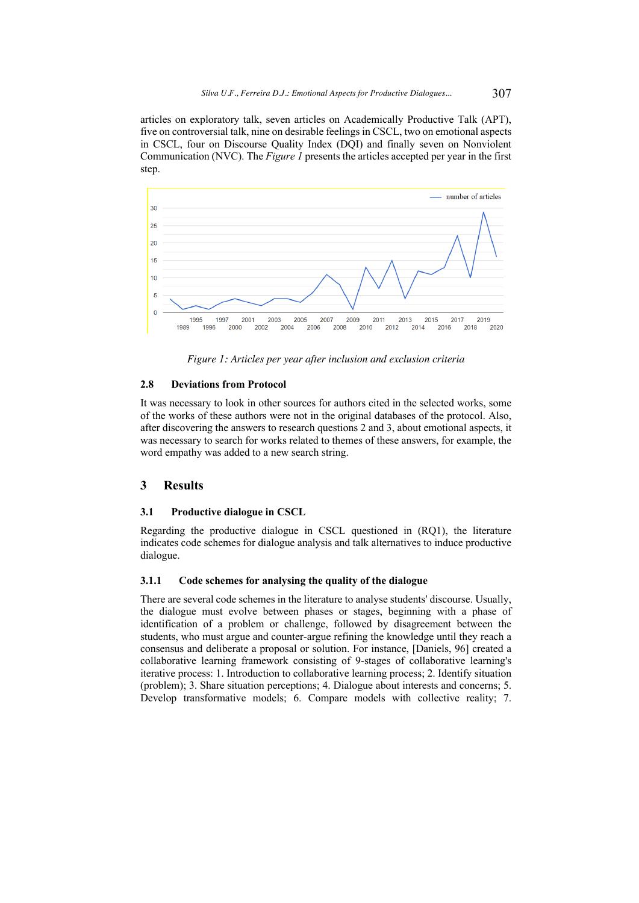articles on exploratory talk, seven articles on Academically Productive Talk (APT), five on controversial talk, nine on desirable feelings in CSCL, two on emotional aspects in CSCL, four on Discourse Quality Index (DQI) and finally seven on Nonviolent Communication (NVC). The *Figure 1* presents the articles accepted per year in the first step.



*Figure 1: Articles per year after inclusion and exclusion criteria*

## **2.8 Deviations from Protocol**

It was necessary to look in other sources for authors cited in the selected works, some of the works of these authors were not in the original databases of the protocol. Also, after discovering the answers to research questions 2 and 3, about emotional aspects, it was necessary to search for works related to themes of these answers, for example, the word empathy was added to a new search string.

# **3 Results**

## **3.1 Productive dialogue in CSCL**

Regarding the productive dialogue in CSCL questioned in (RQ1), the literature indicates code schemes for dialogue analysis and talk alternatives to induce productive dialogue.

## **3.1.1 Code schemes for analysing the quality of the dialogue**

There are several code schemes in the literature to analyse students' discourse. Usually, the dialogue must evolve between phases or stages, beginning with a phase of identification of a problem or challenge, followed by disagreement between the students, who must argue and counter-argue refining the knowledge until they reach a consensus and deliberate a proposal or solution. For instance, [Daniels, 96] created a collaborative learning framework consisting of 9-stages of collaborative learning's iterative process: 1. Introduction to collaborative learning process; 2. Identify situation (problem); 3. Share situation perceptions; 4. Dialogue about interests and concerns; 5. Develop transformative models; 6. Compare models with collective reality; 7.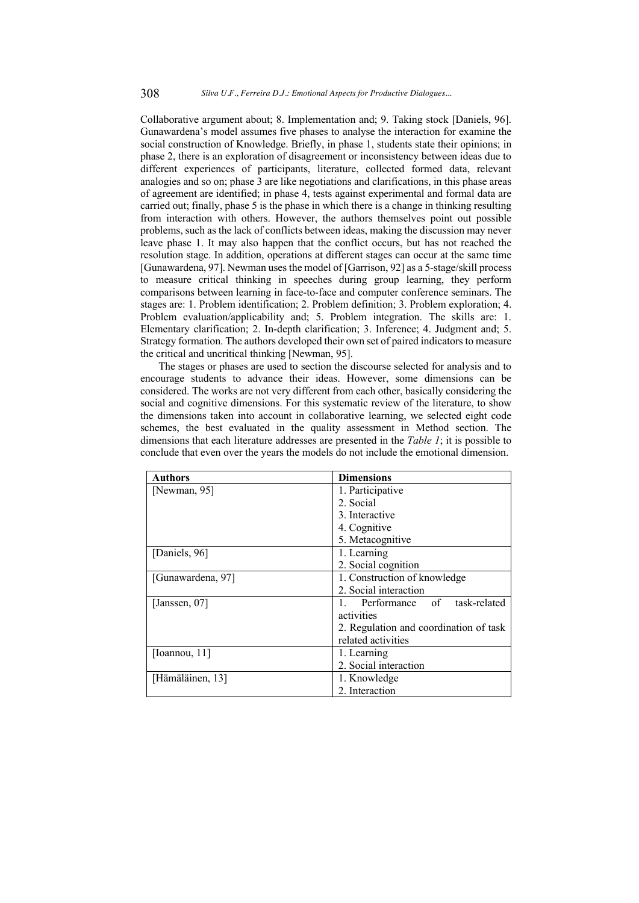Collaborative argument about; 8. Implementation and; 9. Taking stock [Daniels, 96]. Gunawardena's model assumes five phases to analyse the interaction for examine the social construction of Knowledge. Briefly, in phase 1, students state their opinions; in phase 2, there is an exploration of disagreement or inconsistency between ideas due to different experiences of participants, literature, collected formed data, relevant analogies and so on; phase  $\overline{3}$  are like negotiations and clarifications, in this phase areas of agreement are identified; in phase 4, tests against experimental and formal data are carried out; finally, phase 5 is the phase in which there is a change in thinking resulting from interaction with others. However, the authors themselves point out possible problems, such as the lack of conflicts between ideas, making the discussion may never leave phase 1. It may also happen that the conflict occurs, but has not reached the resolution stage. In addition, operations at different stages can occur at the same time [Gunawardena, 97]. Newman uses the model of [Garrison, 92] as a 5-stage/skill process to measure critical thinking in speeches during group learning, they perform comparisons between learning in face-to-face and computer conference seminars. The stages are: 1. Problem identification; 2. Problem definition; 3. Problem exploration; 4. Problem evaluation/applicability and; 5. Problem integration. The skills are: 1. Elementary clarification; 2. In-depth clarification; 3. Inference; 4. Judgment and; 5. Strategy formation. The authors developed their own set of paired indicators to measure the critical and uncritical thinking [Newman, 95].

The stages or phases are used to section the discourse selected for analysis and to encourage students to advance their ideas. However, some dimensions can be considered. The works are not very different from each other, basically considering the social and cognitive dimensions. For this systematic review of the literature, to show the dimensions taken into account in collaborative learning, we selected eight code schemes, the best evaluated in the quality assessment in Method section. The dimensions that each literature addresses are presented in the *Table 1*; it is possible to conclude that even over the years the models do not include the emotional dimension.

| <b>Authors</b>    | <b>Dimensions</b>                      |  |
|-------------------|----------------------------------------|--|
| [Newman, 95]      | 1. Participative                       |  |
|                   | 2. Social                              |  |
|                   | 3. Interactive                         |  |
|                   | 4. Cognitive                           |  |
|                   | 5. Metacognitive                       |  |
| [Daniels, 96]     | 1. Learning                            |  |
|                   | 2. Social cognition                    |  |
| [Gunawardena, 97] | 1. Construction of knowledge           |  |
|                   | 2. Social interaction                  |  |
| [Janssen, 07]     | 1. Performance of task-related         |  |
|                   | activities                             |  |
|                   | 2. Regulation and coordination of task |  |
|                   | related activities                     |  |
| [Ioannou, 11]     | 1. Learning                            |  |
|                   | 2. Social interaction                  |  |
| [Hämäläinen, 13]  | 1. Knowledge                           |  |
|                   | 2. Interaction                         |  |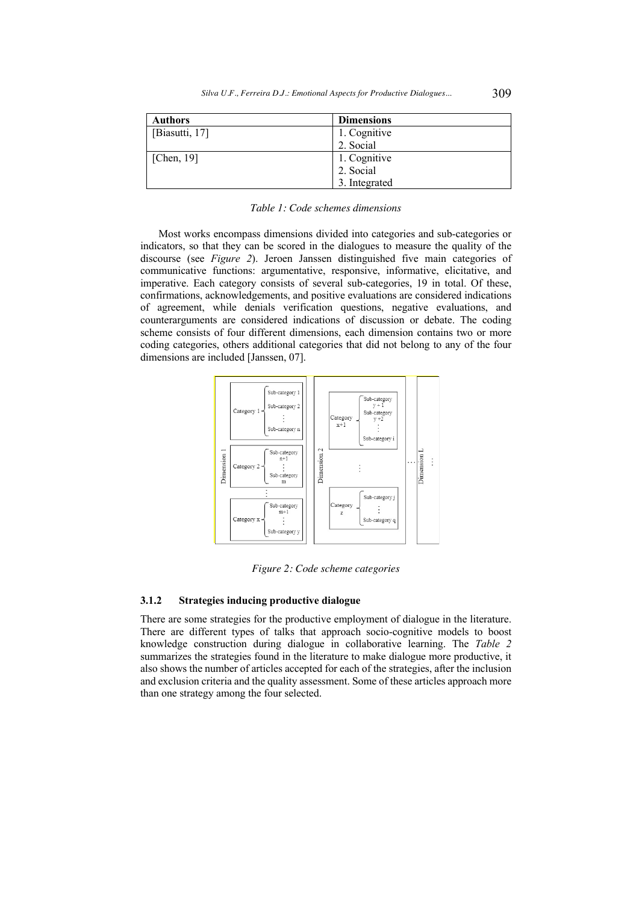| <b>Authors</b> | <b>Dimensions</b> |
|----------------|-------------------|
| [Biasutti, 17] | 1. Cognitive      |
|                | 2. Social         |
| [Chen, $19$ ]  | 1. Cognitive      |
|                | 2. Social         |
|                | 3. Integrated     |

Most works encompass dimensions divided into categories and sub-categories or indicators, so that they can be scored in the dialogues to measure the quality of the discourse (see *Figure 2*). Jeroen Janssen distinguished five main categories of communicative functions: argumentative, responsive, informative, elicitative, and imperative. Each category consists of several sub-categories, 19 in total. Of these, confirmations, acknowledgements, and positive evaluations are considered indications of agreement, while denials verification questions, negative evaluations, and counterarguments are considered indications of discussion or debate. The coding scheme consists of four different dimensions, each dimension contains two or more coding categories, others additional categories that did not belong to any of the four dimensions are included [Janssen, 07].



*Figure 2: Code scheme categories*

## **3.1.2 Strategies inducing productive dialogue**

There are some strategies for the productive employment of dialogue in the literature. There are different types of talks that approach socio-cognitive models to boost knowledge construction during dialogue in collaborative learning. The *Table 2* summarizes the strategies found in the literature to make dialogue more productive, it also shows the number of articles accepted for each of the strategies, after the inclusion and exclusion criteria and the quality assessment. Some of these articles approach more than one strategy among the four selected.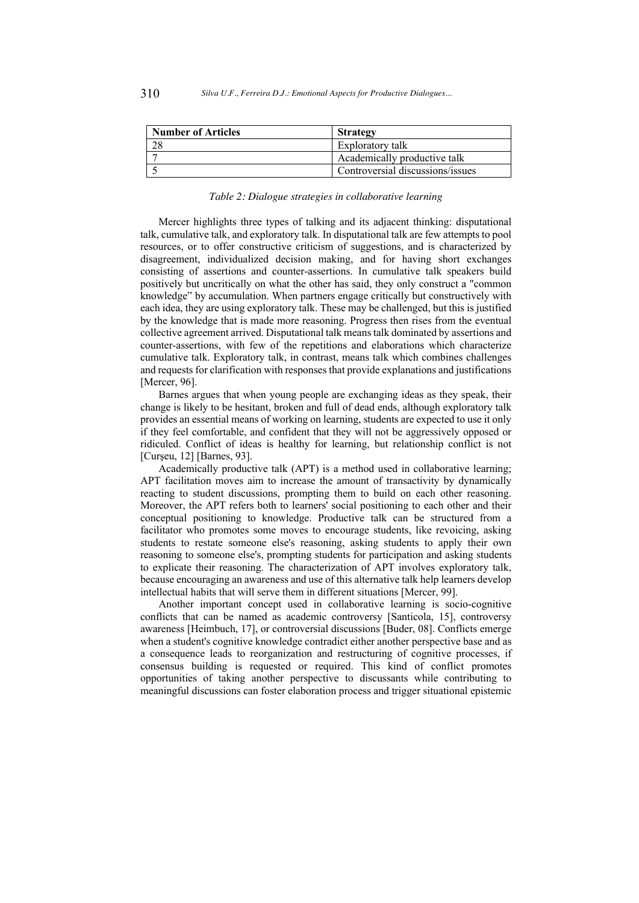| <b>Number of Articles</b> | <b>Strategy</b>                  |  |
|---------------------------|----------------------------------|--|
|                           | Exploratory talk                 |  |
|                           | Academically productive talk     |  |
|                           | Controversial discussions/issues |  |

#### *Table 2: Dialogue strategies in collaborative learning*

Mercer highlights three types of talking and its adjacent thinking: disputational talk, cumulative talk, and exploratory talk. In disputational talk are few attempts to pool resources, or to offer constructive criticism of suggestions, and is characterized by disagreement, individualized decision making, and for having short exchanges consisting of assertions and counter-assertions. In cumulative talk speakers build positively but uncritically on what the other has said, they only construct a "common knowledge" by accumulation. When partners engage critically but constructively with each idea, they are using exploratory talk. These may be challenged, but this is justified by the knowledge that is made more reasoning. Progress then rises from the eventual collective agreement arrived. Disputational talk means talk dominated by assertions and counter-assertions, with few of the repetitions and elaborations which characterize cumulative talk. Exploratory talk, in contrast, means talk which combines challenges and requests for clarification with responses that provide explanations and justifications [Mercer, 96].

Barnes argues that when young people are exchanging ideas as they speak, their change is likely to be hesitant, broken and full of dead ends, although exploratory talk provides an essential means of working on learning, students are expected to use it only if they feel comfortable, and confident that they will not be aggressively opposed or ridiculed. Conflict of ideas is healthy for learning, but relationship conflict is not [Curşeu, 12] [Barnes, 93].

Academically productive talk (APT) is a method used in collaborative learning; APT facilitation moves aim to increase the amount of transactivity by dynamically reacting to student discussions, prompting them to build on each other reasoning. Moreover, the APT refers both to learners' social positioning to each other and their conceptual positioning to knowledge. Productive talk can be structured from a facilitator who promotes some moves to encourage students, like revoicing, asking students to restate someone else's reasoning, asking students to apply their own reasoning to someone else's, prompting students for participation and asking students to explicate their reasoning. The characterization of APT involves exploratory talk, because encouraging an awareness and use of this alternative talk help learners develop intellectual habits that will serve them in different situations [Mercer, 99].

Another important concept used in collaborative learning is socio-cognitive conflicts that can be named as academic controversy [Santicola, 15], controversy awareness [Heimbuch, 17], or controversial discussions [Buder, 08]. Conflicts emerge when a student's cognitive knowledge contradict either another perspective base and as a consequence leads to reorganization and restructuring of cognitive processes, if consensus building is requested or required. This kind of conflict promotes opportunities of taking another perspective to discussants while contributing to meaningful discussions can foster elaboration process and trigger situational epistemic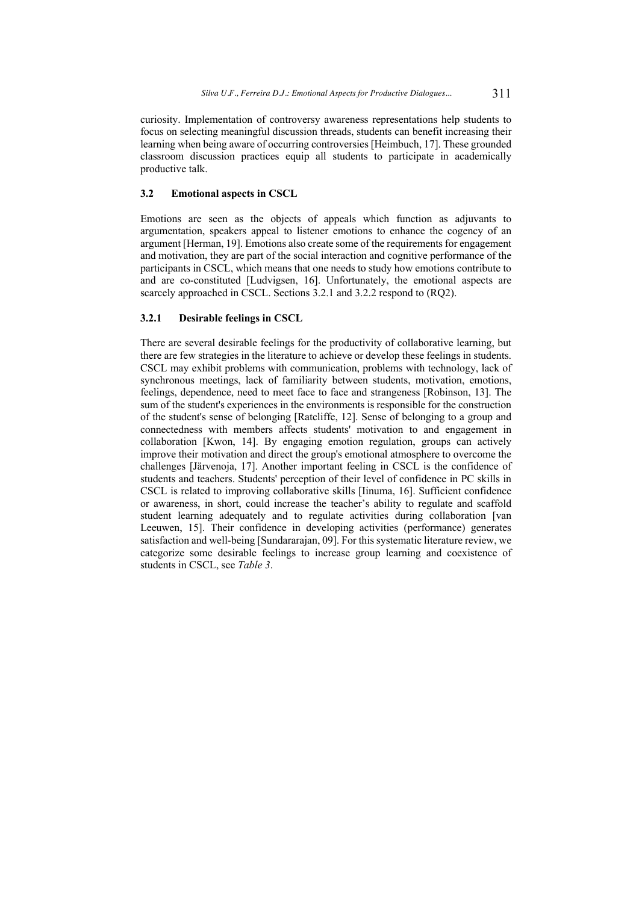curiosity. Implementation of controversy awareness representations help students to focus on selecting meaningful discussion threads, students can benefit increasing their learning when being aware of occurring controversies [Heimbuch, 17]. These grounded classroom discussion practices equip all students to participate in academically productive talk.

## **3.2 Emotional aspects in CSCL**

Emotions are seen as the objects of appeals which function as adjuvants to argumentation, speakers appeal to listener emotions to enhance the cogency of an argument [Herman, 19]. Emotions also create some of the requirements for engagement and motivation, they are part of the social interaction and cognitive performance of the participants in CSCL, which means that one needs to study how emotions contribute to and are co-constituted [Ludvigsen, 16]. Unfortunately, the emotional aspects are scarcely approached in CSCL. Sections 3.2.1 and 3.2.2 respond to (RQ2).

## **3.2.1 Desirable feelings in CSCL**

There are several desirable feelings for the productivity of collaborative learning, but there are few strategies in the literature to achieve or develop these feelings in students. CSCL may exhibit problems with communication, problems with technology, lack of synchronous meetings, lack of familiarity between students, motivation, emotions, feelings, dependence, need to meet face to face and strangeness [Robinson, 13]. The sum of the student's experiences in the environments is responsible for the construction of the student's sense of belonging [Ratcliffe, 12]. Sense of belonging to a group and connectedness with members affects students' motivation to and engagement in collaboration [Kwon, 14]. By engaging emotion regulation, groups can actively improve their motivation and direct the group's emotional atmosphere to overcome the challenges [Järvenoja, 17]. Another important feeling in CSCL is the confidence of students and teachers. Students' perception of their level of confidence in PC skills in CSCL is related to improving collaborative skills [Iinuma, 16]. Sufficient confidence or awareness, in short, could increase the teacher's ability to regulate and scaffold student learning adequately and to regulate activities during collaboration [van Leeuwen, 15]. Their confidence in developing activities (performance) generates satisfaction and well-being [Sundararajan, 09]. For this systematic literature review, we categorize some desirable feelings to increase group learning and coexistence of students in CSCL, see *Table 3*.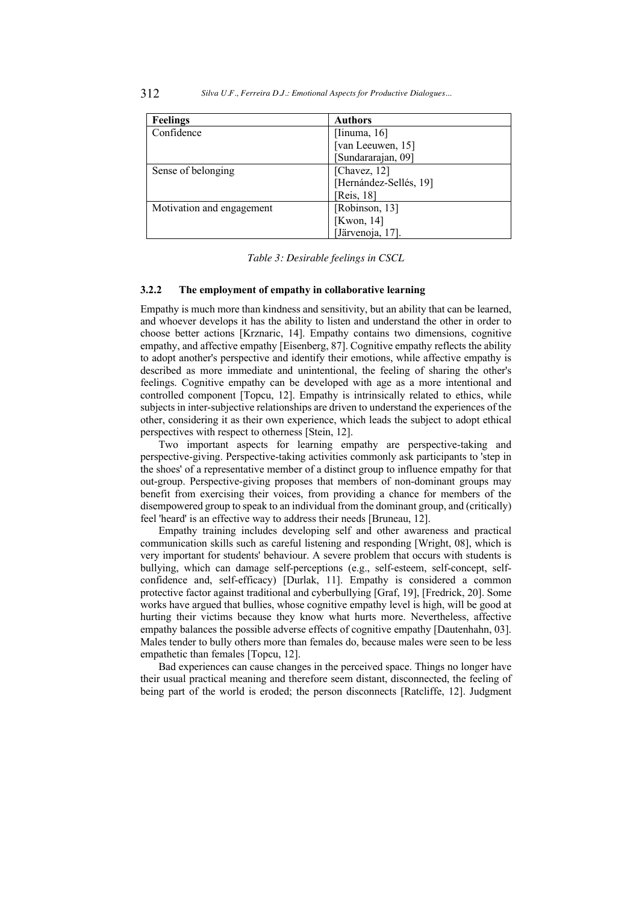| <b>Feelings</b>           | <b>Authors</b>         |  |
|---------------------------|------------------------|--|
| Confidence                | [Iinuma, $16$ ]        |  |
|                           | [van Leeuwen, 15]      |  |
|                           | [Sundararajan, 09]     |  |
| Sense of belonging        | [Chavez, $12$ ]        |  |
|                           | [Hernández-Sellés, 19] |  |
|                           | [Reis, 18]             |  |
| Motivation and engagement | [Robinson, 13]         |  |
|                           | [Kwon, $14$ ]          |  |
|                           | [Järvenoja, 17].       |  |

*Table 3: Desirable feelings in CSCL*

## **3.2.2 The employment of empathy in collaborative learning**

Empathy is much more than kindness and sensitivity, but an ability that can be learned, and whoever develops it has the ability to listen and understand the other in order to choose better actions [Krznaric, 14]. Empathy contains two dimensions, cognitive empathy, and affective empathy [Eisenberg, 87]. Cognitive empathy reflects the ability to adopt another's perspective and identify their emotions, while affective empathy is described as more immediate and unintentional, the feeling of sharing the other's feelings. Cognitive empathy can be developed with age as a more intentional and controlled component [Topcu, 12]. Empathy is intrinsically related to ethics, while subjects in inter-subjective relationships are driven to understand the experiences of the other, considering it as their own experience, which leads the subject to adopt ethical perspectives with respect to otherness [Stein, 12].

Two important aspects for learning empathy are perspective-taking and perspective-giving. Perspective-taking activities commonly ask participants to 'step in the shoes' of a representative member of a distinct group to influence empathy for that out-group. Perspective-giving proposes that members of non-dominant groups may benefit from exercising their voices, from providing a chance for members of the disempowered group to speak to an individual from the dominant group, and (critically) feel 'heard' is an effective way to address their needs [Bruneau, 12].

Empathy training includes developing self and other awareness and practical communication skills such as careful listening and responding [Wright, 08], which is very important for students' behaviour. A severe problem that occurs with students is bullying, which can damage self-perceptions (e.g., self-esteem, self-concept, selfconfidence and, self-efficacy) [Durlak, 11]. Empathy is considered a common protective factor against traditional and cyberbullying [Graf, 19], [Fredrick, 20]. Some works have argued that bullies, whose cognitive empathy level is high, will be good at hurting their victims because they know what hurts more. Nevertheless, affective empathy balances the possible adverse effects of cognitive empathy [Dautenhahn, 03]. Males tender to bully others more than females do, because males were seen to be less empathetic than females [Topcu, 12].

Bad experiences can cause changes in the perceived space. Things no longer have their usual practical meaning and therefore seem distant, disconnected, the feeling of being part of the world is eroded; the person disconnects [Ratcliffe, 12]. Judgment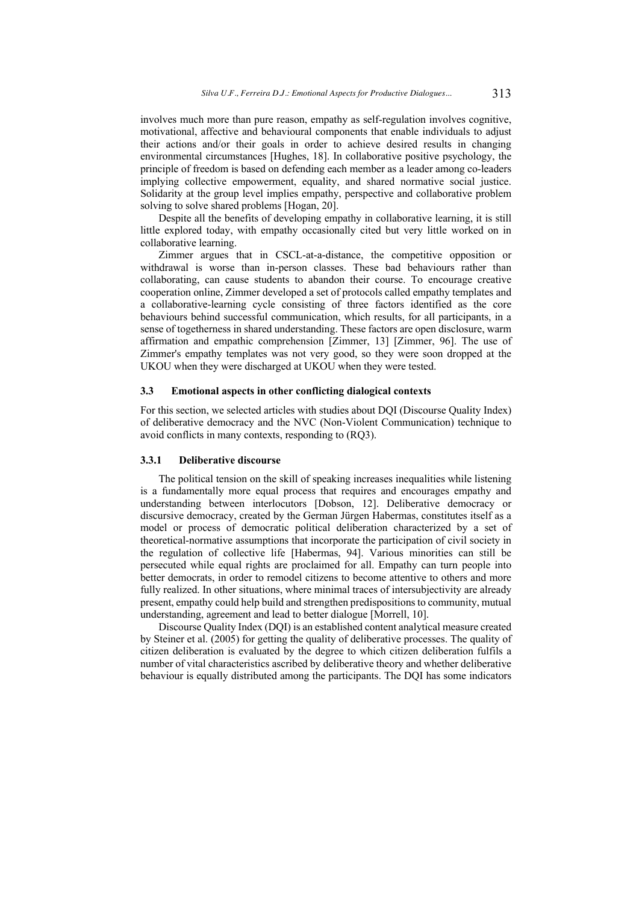involves much more than pure reason, empathy as self-regulation involves cognitive, motivational, affective and behavioural components that enable individuals to adjust their actions and/or their goals in order to achieve desired results in changing environmental circumstances [Hughes, 18]. In collaborative positive psychology, the principle of freedom is based on defending each member as a leader among co-leaders implying collective empowerment, equality, and shared normative social justice. Solidarity at the group level implies empathy, perspective and collaborative problem solving to solve shared problems [Hogan, 20].

Despite all the benefits of developing empathy in collaborative learning, it is still little explored today, with empathy occasionally cited but very little worked on in collaborative learning.

Zimmer argues that in CSCL-at-a-distance, the competitive opposition or withdrawal is worse than in-person classes. These bad behaviours rather than collaborating, can cause students to abandon their course. To encourage creative cooperation online, Zimmer developed a set of protocols called empathy templates and a collaborative-learning cycle consisting of three factors identified as the core behaviours behind successful communication, which results, for all participants, in a sense of togetherness in shared understanding. These factors are open disclosure, warm affirmation and empathic comprehension [Zimmer, 13] [Zimmer, 96]. The use of Zimmer's empathy templates was not very good, so they were soon dropped at the UKOU when they were discharged at UKOU when they were tested.

#### **3.3 Emotional aspects in other conflicting dialogical contexts**

For this section, we selected articles with studies about DQI (Discourse Quality Index) of deliberative democracy and the NVC (Non-Violent Communication) technique to avoid conflicts in many contexts, responding to (RQ3).

#### **3.3.1 Deliberative discourse**

The political tension on the skill of speaking increases inequalities while listening is a fundamentally more equal process that requires and encourages empathy and understanding between interlocutors [Dobson, 12]. Deliberative democracy or discursive democracy, created by the German Jürgen Habermas, constitutes itself as a model or process of democratic political deliberation characterized by a set of theoretical-normative assumptions that incorporate the participation of civil society in the regulation of collective life [Habermas, 94]. Various minorities can still be persecuted while equal rights are proclaimed for all. Empathy can turn people into better democrats, in order to remodel citizens to become attentive to others and more fully realized. In other situations, where minimal traces of intersubjectivity are already present, empathy could help build and strengthen predispositions to community, mutual understanding, agreement and lead to better dialogue [Morrell, 10].

Discourse Quality Index (DQI) is an established content analytical measure created by Steiner et al. (2005) for getting the quality of deliberative processes. The quality of citizen deliberation is evaluated by the degree to which citizen deliberation fulfils a number of vital characteristics ascribed by deliberative theory and whether deliberative behaviour is equally distributed among the participants. The DQI has some indicators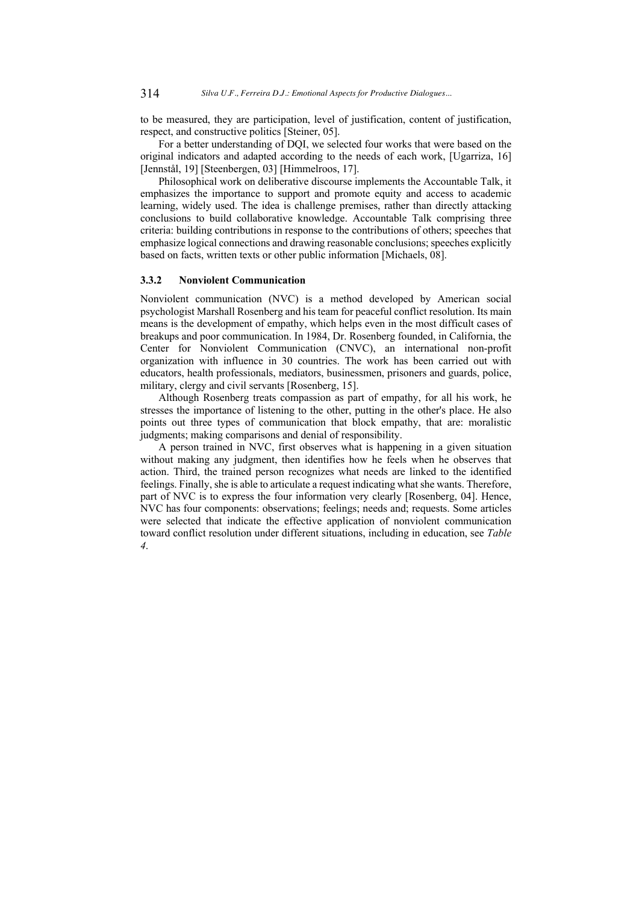to be measured, they are participation, level of justification, content of justification, respect, and constructive politics [Steiner, 05].

For a better understanding of DQI, we selected four works that were based on the original indicators and adapted according to the needs of each work, [Ugarriza, 16] [Jennstål, 19] [Steenbergen, 03] [Himmelroos, 17].

Philosophical work on deliberative discourse implements the Accountable Talk, it emphasizes the importance to support and promote equity and access to academic learning, widely used. The idea is challenge premises, rather than directly attacking conclusions to build collaborative knowledge. Accountable Talk comprising three criteria: building contributions in response to the contributions of others; speeches that emphasize logical connections and drawing reasonable conclusions; speeches explicitly based on facts, written texts or other public information [Michaels, 08].

## **3.3.2 Nonviolent Communication**

Nonviolent communication (NVC) is a method developed by American social psychologist Marshall Rosenberg and his team for peaceful conflict resolution. Its main means is the development of empathy, which helps even in the most difficult cases of breakups and poor communication. In 1984, Dr. Rosenberg founded, in California, the Center for Nonviolent Communication (CNVC), an international non-profit organization with influence in 30 countries. The work has been carried out with educators, health professionals, mediators, businessmen, prisoners and guards, police, military, clergy and civil servants [Rosenberg, 15].

Although Rosenberg treats compassion as part of empathy, for all his work, he stresses the importance of listening to the other, putting in the other's place. He also points out three types of communication that block empathy, that are: moralistic judgments; making comparisons and denial of responsibility.

A person trained in NVC, first observes what is happening in a given situation without making any judgment, then identifies how he feels when he observes that action. Third, the trained person recognizes what needs are linked to the identified feelings. Finally, she is able to articulate a request indicating what she wants. Therefore, part of NVC is to express the four information very clearly [Rosenberg, 04]. Hence, NVC has four components: observations; feelings; needs and; requests. Some articles were selected that indicate the effective application of nonviolent communication toward conflict resolution under different situations, including in education, see *Table 4*.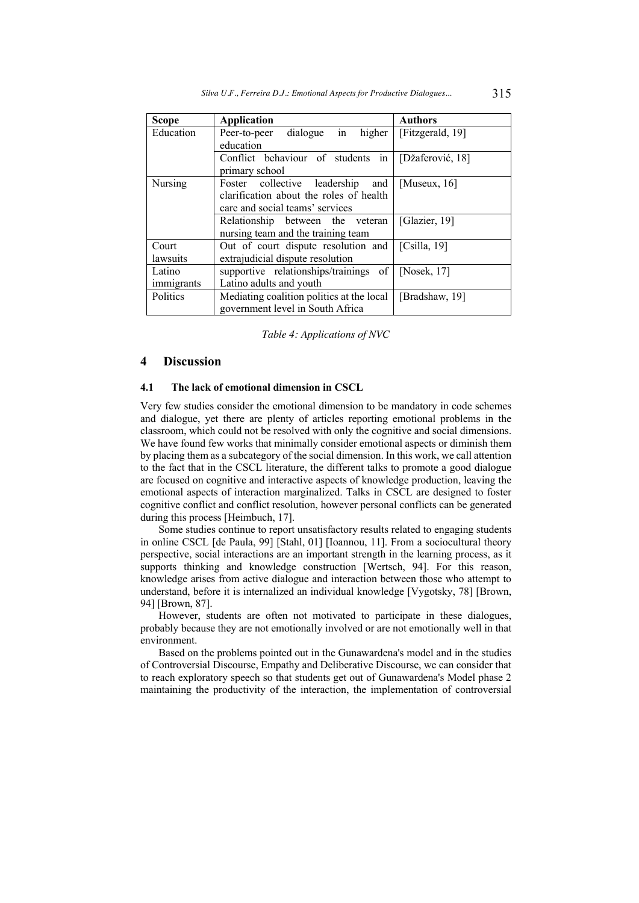| <b>Scope</b> | <b>Application</b>                                           | <b>Authors</b>   |
|--------------|--------------------------------------------------------------|------------------|
| Education    | $\overline{\text{in}}$<br>dialogue<br>Peer-to-peer<br>higher | [Fitzgerald, 19] |
|              | education                                                    |                  |
|              | Conflict behaviour of students in                            | [Džaferović, 18] |
|              | primary school                                               |                  |
| Nursing      | Foster collective leadership<br>and                          | [Museux, $16$ ]  |
|              | clarification about the roles of health                      |                  |
|              | care and social teams' services                              |                  |
|              | Relationship between the veteran                             | [Glazier, 19]    |
|              | nursing team and the training team                           |                  |
| Court        | Out of court dispute resolution and                          | [Csila, 19]      |
| lawsuits     | extrajudicial dispute resolution                             |                  |
| Latino       | supportive relationships/trainings of                        | [Nosek, $17$ ]   |
| immigrants   | Latino adults and youth                                      |                  |
| Politics     | Mediating coalition politics at the local                    | [Bradshaw, 19]   |
|              | government level in South Africa                             |                  |

*Table 4: Applications of NVC*

## **4 Discussion**

#### **4.1 The lack of emotional dimension in CSCL**

Very few studies consider the emotional dimension to be mandatory in code schemes and dialogue, yet there are plenty of articles reporting emotional problems in the classroom, which could not be resolved with only the cognitive and social dimensions. We have found few works that minimally consider emotional aspects or diminish them by placing them as a subcategory of the social dimension. In this work, we call attention to the fact that in the CSCL literature, the different talks to promote a good dialogue are focused on cognitive and interactive aspects of knowledge production, leaving the emotional aspects of interaction marginalized. Talks in CSCL are designed to foster cognitive conflict and conflict resolution, however personal conflicts can be generated during this process [Heimbuch, 17].

Some studies continue to report unsatisfactory results related to engaging students in online CSCL [de Paula, 99] [Stahl, 01] [Ioannou, 11]. From a sociocultural theory perspective, social interactions are an important strength in the learning process, as it supports thinking and knowledge construction [Wertsch, 94]. For this reason, knowledge arises from active dialogue and interaction between those who attempt to understand, before it is internalized an individual knowledge [Vygotsky, 78] [Brown, 94] [Brown, 87].

However, students are often not motivated to participate in these dialogues, probably because they are not emotionally involved or are not emotionally well in that environment.

Based on the problems pointed out in the Gunawardena's model and in the studies of Controversial Discourse, Empathy and Deliberative Discourse, we can consider that to reach exploratory speech so that students get out of Gunawardena's Model phase 2 maintaining the productivity of the interaction, the implementation of controversial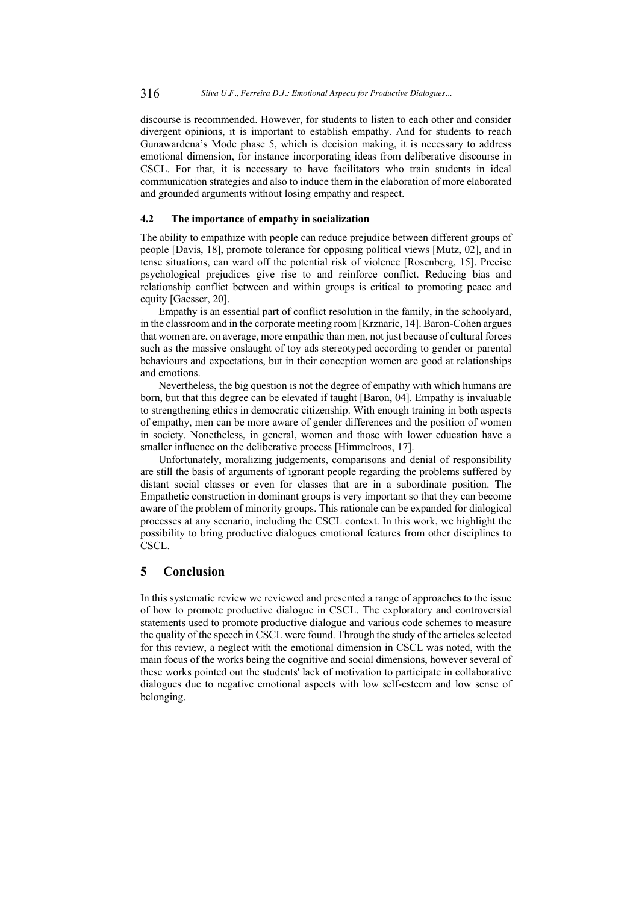discourse is recommended. However, for students to listen to each other and consider divergent opinions, it is important to establish empathy. And for students to reach Gunawardena's Mode phase 5, which is decision making, it is necessary to address emotional dimension, for instance incorporating ideas from deliberative discourse in CSCL. For that, it is necessary to have facilitators who train students in ideal communication strategies and also to induce them in the elaboration of more elaborated and grounded arguments without losing empathy and respect.

## **4.2 The importance of empathy in socialization**

The ability to empathize with people can reduce prejudice between different groups of people [Davis, 18], promote tolerance for opposing political views [Mutz, 02], and in tense situations, can ward off the potential risk of violence [Rosenberg, 15]. Precise psychological prejudices give rise to and reinforce conflict. Reducing bias and relationship conflict between and within groups is critical to promoting peace and equity [Gaesser, 20].

Empathy is an essential part of conflict resolution in the family, in the schoolyard, in the classroom and in the corporate meeting room [Krznaric, 14]. Baron-Cohen argues that women are, on average, more empathic than men, not just because of cultural forces such as the massive onslaught of toy ads stereotyped according to gender or parental behaviours and expectations, but in their conception women are good at relationships and emotions.

Nevertheless, the big question is not the degree of empathy with which humans are born, but that this degree can be elevated if taught [Baron, 04]. Empathy is invaluable to strengthening ethics in democratic citizenship. With enough training in both aspects of empathy, men can be more aware of gender differences and the position of women in society. Nonetheless, in general, women and those with lower education have a smaller influence on the deliberative process [Himmelroos, 17].

Unfortunately, moralizing judgements, comparisons and denial of responsibility are still the basis of arguments of ignorant people regarding the problems suffered by distant social classes or even for classes that are in a subordinate position. The Empathetic construction in dominant groups is very important so that they can become aware of the problem of minority groups. This rationale can be expanded for dialogical processes at any scenario, including the CSCL context. In this work, we highlight the possibility to bring productive dialogues emotional features from other disciplines to CSCL.

# **5 Conclusion**

In this systematic review we reviewed and presented a range of approaches to the issue of how to promote productive dialogue in CSCL. The exploratory and controversial statements used to promote productive dialogue and various code schemes to measure the quality of the speech in CSCL were found. Through the study of the articles selected for this review, a neglect with the emotional dimension in CSCL was noted, with the main focus of the works being the cognitive and social dimensions, however several of these works pointed out the students' lack of motivation to participate in collaborative dialogues due to negative emotional aspects with low self-esteem and low sense of belonging.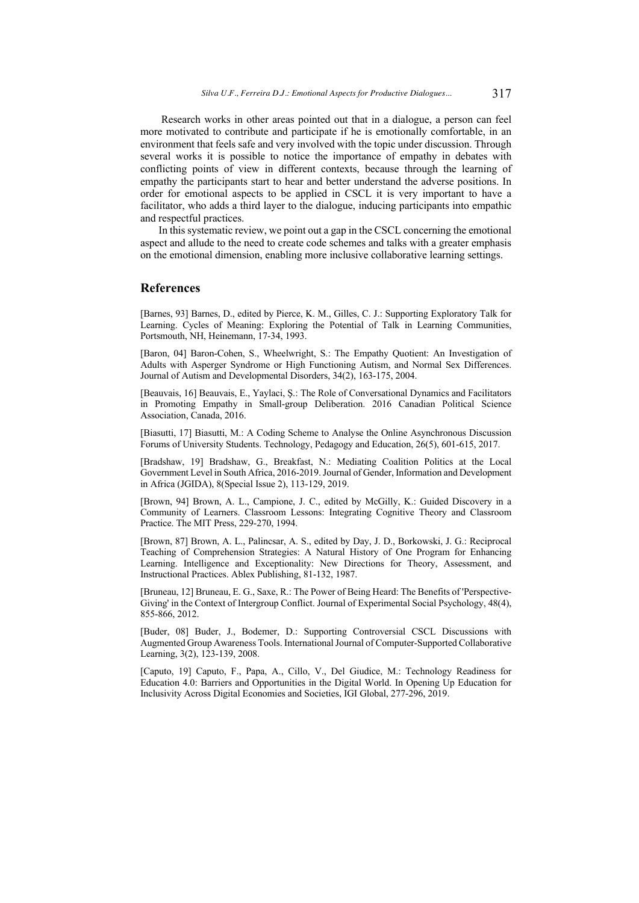Research works in other areas pointed out that in a dialogue, a person can feel more motivated to contribute and participate if he is emotionally comfortable, in an environment that feels safe and very involved with the topic under discussion. Through several works it is possible to notice the importance of empathy in debates with conflicting points of view in different contexts, because through the learning of empathy the participants start to hear and better understand the adverse positions. In order for emotional aspects to be applied in CSCL it is very important to have a facilitator, who adds a third layer to the dialogue, inducing participants into empathic and respectful practices.

In this systematic review, we point out a gap in the CSCL concerning the emotional aspect and allude to the need to create code schemes and talks with a greater emphasis on the emotional dimension, enabling more inclusive collaborative learning settings.

## **References**

[Barnes, 93] Barnes, D., edited by Pierce, K. M., Gilles, C. J.: Supporting Exploratory Talk for Learning. Cycles of Meaning: Exploring the Potential of Talk in Learning Communities, Portsmouth, NH, Heinemann, 17-34, 1993.

[Baron, 04] Baron-Cohen, S., Wheelwright, S.: The Empathy Quotient: An Investigation of Adults with Asperger Syndrome or High Functioning Autism, and Normal Sex Differences. Journal of Autism and Developmental Disorders, 34(2), 163-175, 2004.

[Beauvais, 16] Beauvais, E., Yaylaci, Ş.: The Role of Conversational Dynamics and Facilitators in Promoting Empathy in Small-group Deliberation. 2016 Canadian Political Science Association, Canada, 2016.

[Biasutti, 17] Biasutti, M.: A Coding Scheme to Analyse the Online Asynchronous Discussion Forums of University Students. Technology, Pedagogy and Education, 26(5), 601-615, 2017.

[Bradshaw, 19] Bradshaw, G., Breakfast, N.: Mediating Coalition Politics at the Local Government Level in South Africa, 2016-2019. Journal of Gender, Information and Development in Africa (JGIDA), 8(Special Issue 2), 113-129, 2019.

[Brown, 94] Brown, A. L., Campione, J. C., edited by McGilly, K.: Guided Discovery in a Community of Learners. Classroom Lessons: Integrating Cognitive Theory and Classroom Practice. The MIT Press, 229-270, 1994.

[Brown, 87] Brown, A. L., Palincsar, A. S., edited by Day, J. D., Borkowski, J. G.: Reciprocal Teaching of Comprehension Strategies: A Natural History of One Program for Enhancing Learning. Intelligence and Exceptionality: New Directions for Theory, Assessment, and Instructional Practices. Ablex Publishing, 81-132, 1987.

[Bruneau, 12] Bruneau, E. G., Saxe, R.: The Power of Being Heard: The Benefits of 'Perspective-Giving' in the Context of Intergroup Conflict. Journal of Experimental Social Psychology, 48(4), 855-866, 2012.

[Buder, 08] Buder, J., Bodemer, D.: Supporting Controversial CSCL Discussions with Augmented Group Awareness Tools. International Journal of Computer-Supported Collaborative Learning, 3(2), 123-139, 2008.

[Caputo, 19] Caputo, F., Papa, A., Cillo, V., Del Giudice, M.: Technology Readiness for Education 4.0: Barriers and Opportunities in the Digital World. In Opening Up Education for Inclusivity Across Digital Economies and Societies, IGI Global, 277-296, 2019.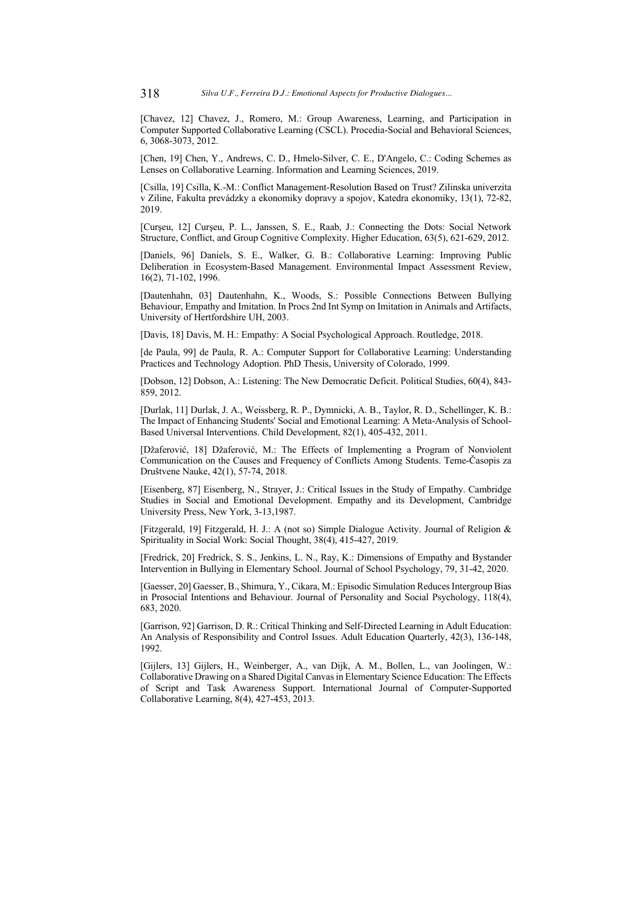[Chavez, 12] Chavez, J., Romero, M.: Group Awareness, Learning, and Participation in Computer Supported Collaborative Learning (CSCL). Procedia-Social and Behavioral Sciences, 6, 3068-3073, 2012.

[Chen, 19] Chen, Y., Andrews, C. D., Hmelo-Silver, C. E., D'Angelo, C.: Coding Schemes as Lenses on Collaborative Learning. Information and Learning Sciences, 2019.

[Csilla, 19] Csilla, K.-M.: Conflict Management-Resolution Based on Trust? Zilinska univerzita v Ziline, Fakulta prevádzky a ekonomiky dopravy a spojov, Katedra ekonomiky, 13(1), 72-82, 2019.

[Curşeu, 12] Curşeu, P. L., Janssen, S. E., Raab, J.: Connecting the Dots: Social Network Structure, Conflict, and Group Cognitive Complexity. Higher Education, 63(5), 621-629, 2012.

[Daniels, 96] Daniels, S. E., Walker, G. B.: Collaborative Learning: Improving Public Deliberation in Ecosystem-Based Management. Environmental Impact Assessment Review, 16(2), 71-102, 1996.

[Dautenhahn, 03] Dautenhahn, K., Woods, S.: Possible Connections Between Bullying Behaviour, Empathy and Imitation. In Procs 2nd Int Symp on Imitation in Animals and Artifacts, University of Hertfordshire UH, 2003.

[Davis, 18] Davis, M. H.: Empathy: A Social Psychological Approach. Routledge, 2018.

[de Paula, 99] de Paula, R. A.: Computer Support for Collaborative Learning: Understanding Practices and Technology Adoption. PhD Thesis, University of Colorado, 1999.

[Dobson, 12] Dobson, A.: Listening: The New Democratic Deficit. Political Studies, 60(4), 843- 859, 2012.

[Durlak, 11] Durlak, J. A., Weissberg, R. P., Dymnicki, A. B., Taylor, R. D., Schellinger, K. B.: The Impact of Enhancing Students' Social and Emotional Learning: A Meta-Analysis of School-Based Universal Interventions. Child Development, 82(1), 405-432, 2011.

[Džaferović, 18] Džaferović, M.: The Effects of Implementing a Program of Nonviolent Communication on the Causes and Frequency of Conflicts Among Students. Teme-Časopis za Društvene Nauke, 42(1), 57-74, 2018.

[Eisenberg, 87] Eisenberg, N., Strayer, J.: Critical Issues in the Study of Empathy. Cambridge Studies in Social and Emotional Development. Empathy and its Development, Cambridge University Press, New York, 3-13,1987.

[Fitzgerald, 19] Fitzgerald, H. J.: A (not so) Simple Dialogue Activity. Journal of Religion & Spirituality in Social Work: Social Thought, 38(4), 415-427, 2019.

[Fredrick, 20] Fredrick, S. S., Jenkins, L. N., Ray, K.: Dimensions of Empathy and Bystander Intervention in Bullying in Elementary School. Journal of School Psychology, 79, 31-42, 2020.

[Gaesser, 20] Gaesser, B., Shimura, Y., Cikara, M.: Episodic Simulation Reduces Intergroup Bias in Prosocial Intentions and Behaviour. Journal of Personality and Social Psychology, 118(4), 683, 2020.

[Garrison, 92] Garrison, D. R.: Critical Thinking and Self-Directed Learning in Adult Education: An Analysis of Responsibility and Control Issues. Adult Education Quarterly, 42(3), 136-148, 1992.

[Gijlers, 13] Gijlers, H., Weinberger, A., van Dijk, A. M., Bollen, L., van Joolingen, W.: Collaborative Drawing on a Shared Digital Canvas in Elementary Science Education: The Effects of Script and Task Awareness Support. International Journal of Computer-Supported Collaborative Learning, 8(4), 427-453, 2013.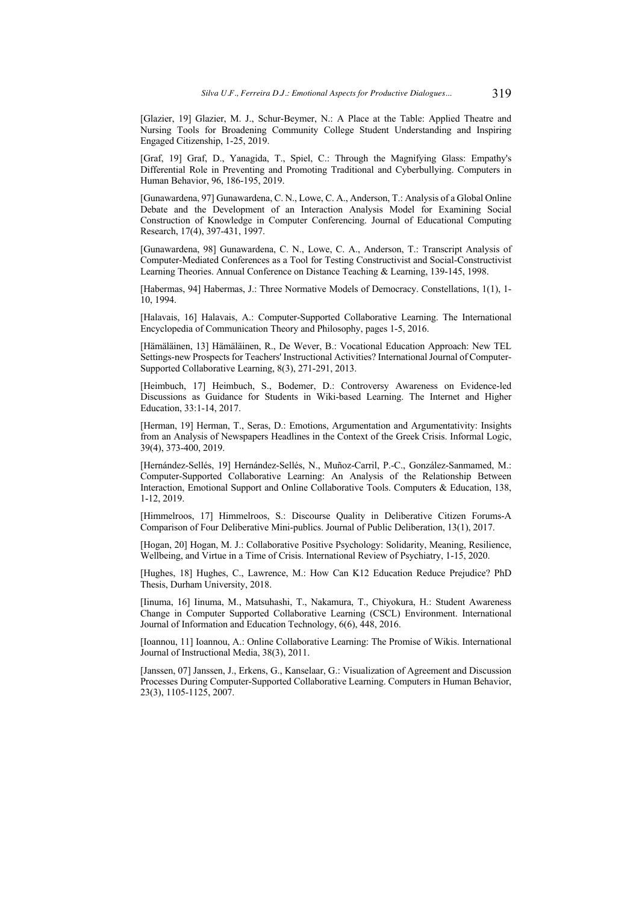[Glazier, 19] Glazier, M. J., Schur-Beymer, N.: A Place at the Table: Applied Theatre and Nursing Tools for Broadening Community College Student Understanding and Inspiring Engaged Citizenship, 1-25, 2019.

[Graf, 19] Graf, D., Yanagida, T., Spiel, C.: Through the Magnifying Glass: Empathy's Differential Role in Preventing and Promoting Traditional and Cyberbullying. Computers in Human Behavior, 96, 186-195, 2019.

[Gunawardena, 97] Gunawardena, C. N., Lowe, C. A., Anderson, T.: Analysis of a Global Online Debate and the Development of an Interaction Analysis Model for Examining Social Construction of Knowledge in Computer Conferencing. Journal of Educational Computing Research, 17(4), 397-431, 1997.

[Gunawardena, 98] Gunawardena, C. N., Lowe, C. A., Anderson, T.: Transcript Analysis of Computer-Mediated Conferences as a Tool for Testing Constructivist and Social-Constructivist Learning Theories. Annual Conference on Distance Teaching & Learning, 139-145, 1998.

[Habermas, 94] Habermas, J.: Three Normative Models of Democracy. Constellations, 1(1), 1- 10, 1994.

[Halavais, 16] Halavais, A.: Computer-Supported Collaborative Learning. The International Encyclopedia of Communication Theory and Philosophy, pages 1-5, 2016.

[Hämäläinen, 13] Hämäläinen, R., De Wever, B.: Vocational Education Approach: New TEL Settings-new Prospects for Teachers' Instructional Activities? International Journal of Computer-Supported Collaborative Learning, 8(3), 271-291, 2013.

[Heimbuch, 17] Heimbuch, S., Bodemer, D.: Controversy Awareness on Evidence-led Discussions as Guidance for Students in Wiki-based Learning. The Internet and Higher Education, 33:1-14, 2017.

[Herman, 19] Herman, T., Seras, D.: Emotions, Argumentation and Argumentativity: Insights from an Analysis of Newspapers Headlines in the Context of the Greek Crisis. Informal Logic, 39(4), 373-400, 2019.

[Hernández-Sellés, 19] Hernández-Sellés, N., Muñoz-Carril, P.-C., González-Sanmamed, M.: Computer-Supported Collaborative Learning: An Analysis of the Relationship Between Interaction, Emotional Support and Online Collaborative Tools. Computers & Education, 138, 1-12, 2019.

[Himmelroos, 17] Himmelroos, S.: Discourse Quality in Deliberative Citizen Forums-A Comparison of Four Deliberative Mini-publics. Journal of Public Deliberation, 13(1), 2017.

[Hogan, 20] Hogan, M. J.: Collaborative Positive Psychology: Solidarity, Meaning, Resilience, Wellbeing, and Virtue in a Time of Crisis. International Review of Psychiatry, 1-15, 2020.

[Hughes, 18] Hughes, C., Lawrence, M.: How Can K12 Education Reduce Prejudice? PhD Thesis, Durham University, 2018.

[Iinuma, 16] Iinuma, M., Matsuhashi, T., Nakamura, T., Chiyokura, H.: Student Awareness Change in Computer Supported Collaborative Learning (CSCL) Environment. International Journal of Information and Education Technology, 6(6), 448, 2016.

[Ioannou, 11] Ioannou, A.: Online Collaborative Learning: The Promise of Wikis. International Journal of Instructional Media, 38(3), 2011.

[Janssen, 07] Janssen, J., Erkens, G., Kanselaar, G.: Visualization of Agreement and Discussion Processes During Computer-Supported Collaborative Learning. Computers in Human Behavior, 23(3), 1105-1125, 2007.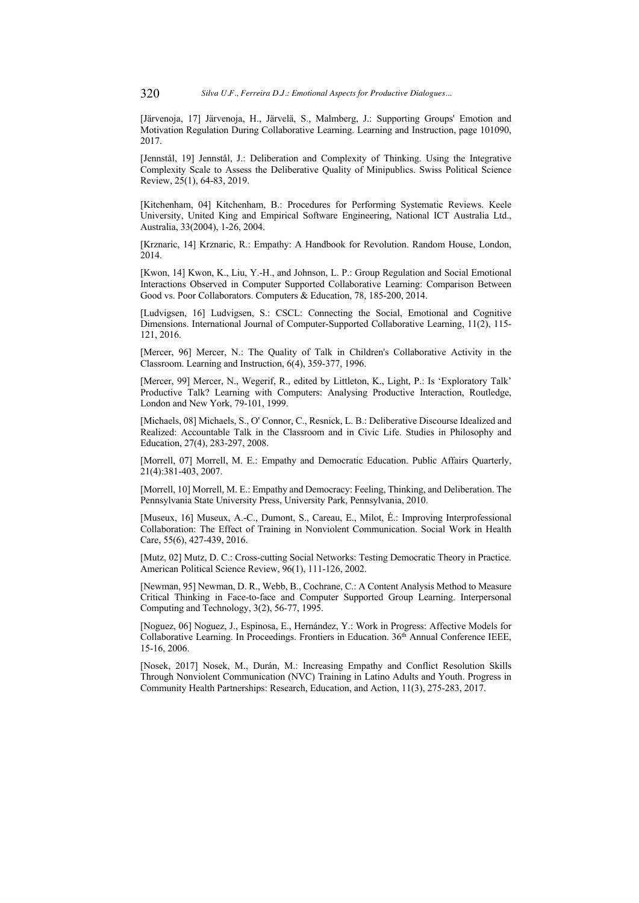[Järvenoja, 17] Järvenoja, H., Järvelä, S., Malmberg, J.: Supporting Groups' Emotion and Motivation Regulation During Collaborative Learning. Learning and Instruction, page 101090, 2017.

[Jennstål, 19] Jennstål, J.: Deliberation and Complexity of Thinking. Using the Integrative Complexity Scale to Assess the Deliberative Quality of Minipublics. Swiss Political Science Review, 25(1), 64-83, 2019.

[Kitchenham, 04] Kitchenham, B.: Procedures for Performing Systematic Reviews. Keele University, United King and Empirical Software Engineering, National ICT Australia Ltd., Australia, 33(2004), 1-26, 2004.

[Krznaric, 14] Krznaric, R.: Empathy: A Handbook for Revolution. Random House, London, 2014.

[Kwon, 14] Kwon, K., Liu, Y.-H., and Johnson, L. P.: Group Regulation and Social Emotional Interactions Observed in Computer Supported Collaborative Learning: Comparison Between Good vs. Poor Collaborators. Computers & Education, 78, 185-200, 2014.

[Ludvigsen, 16] Ludvigsen, S.: CSCL: Connecting the Social, Emotional and Cognitive Dimensions. International Journal of Computer-Supported Collaborative Learning, 11(2), 115- 121, 2016.

[Mercer, 96] Mercer, N.: The Quality of Talk in Children's Collaborative Activity in the Classroom. Learning and Instruction, 6(4), 359-377, 1996.

[Mercer, 99] Mercer, N., Wegerif, R., edited by Littleton, K., Light, P.: Is 'Exploratory Talk' Productive Talk? Learning with Computers: Analysing Productive Interaction, Routledge, London and New York, 79-101, 1999.

[Michaels, 08] Michaels, S., O' Connor, C., Resnick, L. B.: Deliberative Discourse Idealized and Realized: Accountable Talk in the Classroom and in Civic Life. Studies in Philosophy and Education, 27(4), 283-297, 2008.

[Morrell, 07] Morrell, M. E.: Empathy and Democratic Education. Public Affairs Quarterly, 21(4):381-403, 2007.

[Morrell, 10] Morrell, M. E.: Empathy and Democracy: Feeling, Thinking, and Deliberation. The Pennsylvania State University Press, University Park, Pennsylvania, 2010.

[Museux, 16] Museux, A.-C., Dumont, S., Careau, E., Milot, É.: Improving Interprofessional Collaboration: The Effect of Training in Nonviolent Communication. Social Work in Health Care, 55(6), 427-439, 2016.

[Mutz, 02] Mutz, D. C.: Cross-cutting Social Networks: Testing Democratic Theory in Practice. American Political Science Review, 96(1), 111-126, 2002.

[Newman, 95] Newman, D. R., Webb, B., Cochrane, C.: A Content Analysis Method to Measure Critical Thinking in Face-to-face and Computer Supported Group Learning. Interpersonal Computing and Technology, 3(2), 56-77, 1995.

[Noguez, 06] Noguez, J., Espinosa, E., Hernández, Y.: Work in Progress: Affective Models for Collaborative Learning. In Proceedings. Frontiers in Education. 36th Annual Conference IEEE, 15-16, 2006.

[Nosek, 2017] Nosek, M., Durán, M.: Increasing Empathy and Conflict Resolution Skills Through Nonviolent Communication (NVC) Training in Latino Adults and Youth. Progress in Community Health Partnerships: Research, Education, and Action, 11(3), 275-283, 2017.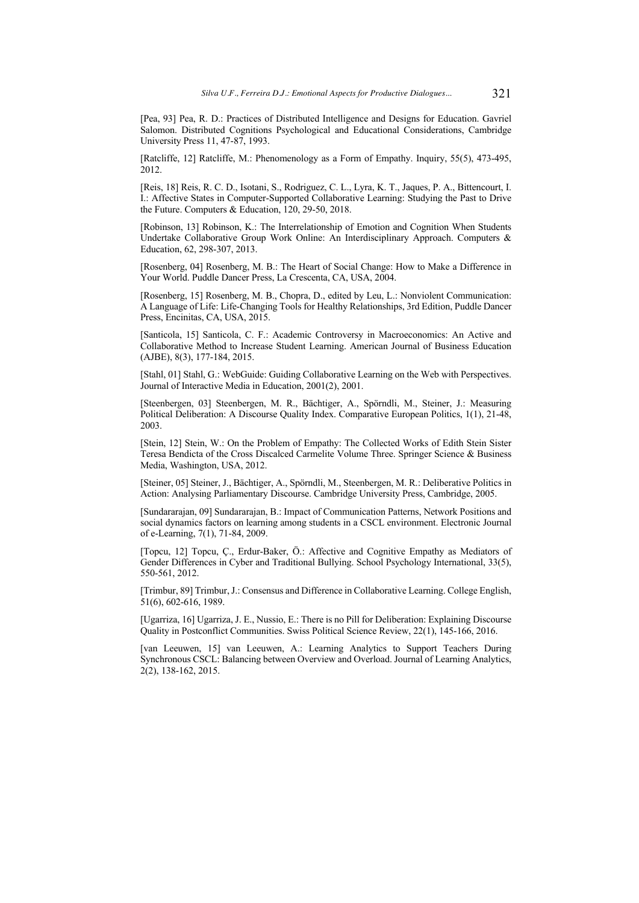[Pea, 93] Pea, R. D.: Practices of Distributed Intelligence and Designs for Education. Gavriel Salomon. Distributed Cognitions Psychological and Educational Considerations, Cambridge University Press 11, 47-87, 1993.

[Ratcliffe, 12] Ratcliffe, M.: Phenomenology as a Form of Empathy. Inquiry, 55(5), 473-495, 2012.

[Reis, 18] Reis, R. C. D., Isotani, S., Rodriguez, C. L., Lyra, K. T., Jaques, P. A., Bittencourt, I. I.: Affective States in Computer-Supported Collaborative Learning: Studying the Past to Drive the Future. Computers & Education, 120, 29-50, 2018.

[Robinson, 13] Robinson, K.: The Interrelationship of Emotion and Cognition When Students Undertake Collaborative Group Work Online: An Interdisciplinary Approach. Computers & Education, 62, 298-307, 2013.

[Rosenberg, 04] Rosenberg, M. B.: The Heart of Social Change: How to Make a Difference in Your World. Puddle Dancer Press, La Crescenta, CA, USA, 2004.

[Rosenberg, 15] Rosenberg, M. B., Chopra, D., edited by Leu, L.: Nonviolent Communication: A Language of Life: Life-Changing Tools for Healthy Relationships, 3rd Edition, Puddle Dancer Press, Encinitas, CA, USA, 2015.

[Santicola, 15] Santicola, C. F.: Academic Controversy in Macroeconomics: An Active and Collaborative Method to Increase Student Learning. American Journal of Business Education (AJBE), 8(3), 177-184, 2015.

[Stahl, 01] Stahl, G.: WebGuide: Guiding Collaborative Learning on the Web with Perspectives. Journal of Interactive Media in Education, 2001(2), 2001.

[Steenbergen, 03] Steenbergen, M. R., Bächtiger, A., Spörndli, M., Steiner, J.: Measuring Political Deliberation: A Discourse Quality Index. Comparative European Politics, 1(1), 21-48, 2003.

[Stein, 12] Stein, W.: On the Problem of Empathy: The Collected Works of Edith Stein Sister Teresa Bendicta of the Cross Discalced Carmelite Volume Three. Springer Science & Business Media, Washington, USA, 2012.

[Steiner, 05] Steiner, J., Bächtiger, A., Spörndli, M., Steenbergen, M. R.: Deliberative Politics in Action: Analysing Parliamentary Discourse. Cambridge University Press, Cambridge, 2005.

[Sundararajan, 09] Sundararajan, B.: Impact of Communication Patterns, Network Positions and social dynamics factors on learning among students in a CSCL environment. Electronic Journal of e-Learning, 7(1), 71-84, 2009.

[Topcu, 12] Topcu, Ç., Erdur-Baker, Ö.: Affective and Cognitive Empathy as Mediators of Gender Differences in Cyber and Traditional Bullying. School Psychology International, 33(5), 550-561, 2012.

[Trimbur, 89] Trimbur, J.: Consensus and Difference in Collaborative Learning. College English, 51(6), 602-616, 1989.

[Ugarriza, 16] Ugarriza, J. E., Nussio, E.: There is no Pill for Deliberation: Explaining Discourse Quality in Postconflict Communities. Swiss Political Science Review, 22(1), 145-166, 2016.

[van Leeuwen, 15] van Leeuwen, A.: Learning Analytics to Support Teachers During Synchronous CSCL: Balancing between Overview and Overload. Journal of Learning Analytics, 2(2), 138-162, 2015.